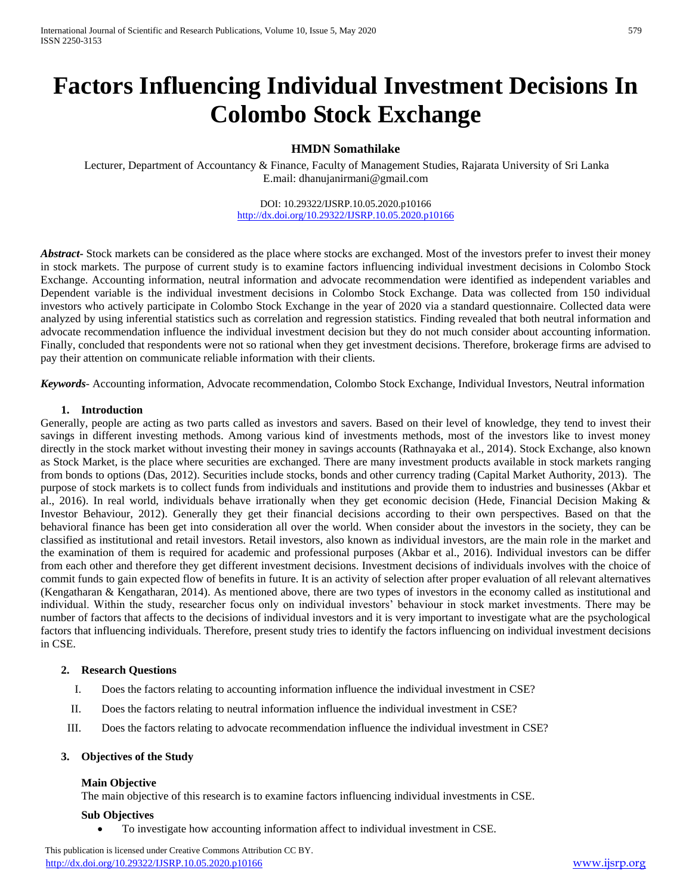# **Factors Influencing Individual Investment Decisions In Colombo Stock Exchange**

# **HMDN Somathilake**

Lecturer, Department of Accountancy & Finance, Faculty of Management Studies, Rajarata University of Sri Lanka E.mail: dhanujanirmani@gmail.com

> DOI: 10.29322/IJSRP.10.05.2020.p10166 <http://dx.doi.org/10.29322/IJSRP.10.05.2020.p10166>

*Abstract***-** Stock markets can be considered as the place where stocks are exchanged. Most of the investors prefer to invest their money in stock markets. The purpose of current study is to examine factors influencing individual investment decisions in Colombo Stock Exchange. Accounting information, neutral information and advocate recommendation were identified as independent variables and Dependent variable is the individual investment decisions in Colombo Stock Exchange. Data was collected from 150 individual investors who actively participate in Colombo Stock Exchange in the year of 2020 via a standard questionnaire. Collected data were analyzed by using inferential statistics such as correlation and regression statistics. Finding revealed that both neutral information and advocate recommendation influence the individual investment decision but they do not much consider about accounting information. Finally, concluded that respondents were not so rational when they get investment decisions. Therefore, brokerage firms are advised to pay their attention on communicate reliable information with their clients.

*Keywords*- Accounting information, Advocate recommendation, Colombo Stock Exchange, Individual Investors, Neutral information

#### **1. Introduction**

Generally, people are acting as two parts called as investors and savers. Based on their level of knowledge, they tend to invest their savings in different investing methods. Among various kind of investments methods, most of the investors like to invest money directly in the stock market without investing their money in savings accounts (Rathnayaka et al., 2014). Stock Exchange, also known as Stock Market, is the place where securities are exchanged. There are many investment products available in stock markets ranging from bonds to options (Das, 2012). Securities include stocks, bonds and other currency trading (Capital Market Authority, 2013). The purpose of stock markets is to collect funds from individuals and institutions and provide them to industries and businesses (Akbar et al., 2016). In real world, individuals behave irrationally when they get economic decision (Hede, Financial Decision Making & Investor Behaviour, 2012). Generally they get their financial decisions according to their own perspectives. Based on that the behavioral finance has been get into consideration all over the world. When consider about the investors in the society, they can be classified as institutional and retail investors. Retail investors, also known as individual investors, are the main role in the market and the examination of them is required for academic and professional purposes (Akbar et al., 2016). Individual investors can be differ from each other and therefore they get different investment decisions. Investment decisions of individuals involves with the choice of commit funds to gain expected flow of benefits in future. It is an activity of selection after proper evaluation of all relevant alternatives (Kengatharan & Kengatharan, 2014). As mentioned above, there are two types of investors in the economy called as institutional and individual. Within the study, researcher focus only on individual investors' behaviour in stock market investments. There may be number of factors that affects to the decisions of individual investors and it is very important to investigate what are the psychological factors that influencing individuals. Therefore, present study tries to identify the factors influencing on individual investment decisions in CSE.

## **2. Research Questions**

- I. Does the factors relating to accounting information influence the individual investment in CSE?
- II. Does the factors relating to neutral information influence the individual investment in CSE?
- III. Does the factors relating to advocate recommendation influence the individual investment in CSE?

#### **3. Objectives of the Study**

#### **Main Objective**

The main objective of this research is to examine factors influencing individual investments in CSE.

#### **Sub Objectives**

To investigate how accounting information affect to individual investment in CSE.

 This publication is licensed under Creative Commons Attribution CC BY. <http://dx.doi.org/10.29322/IJSRP.10.05.2020.p10166> [www.ijsrp.org](http://ijsrp.org/)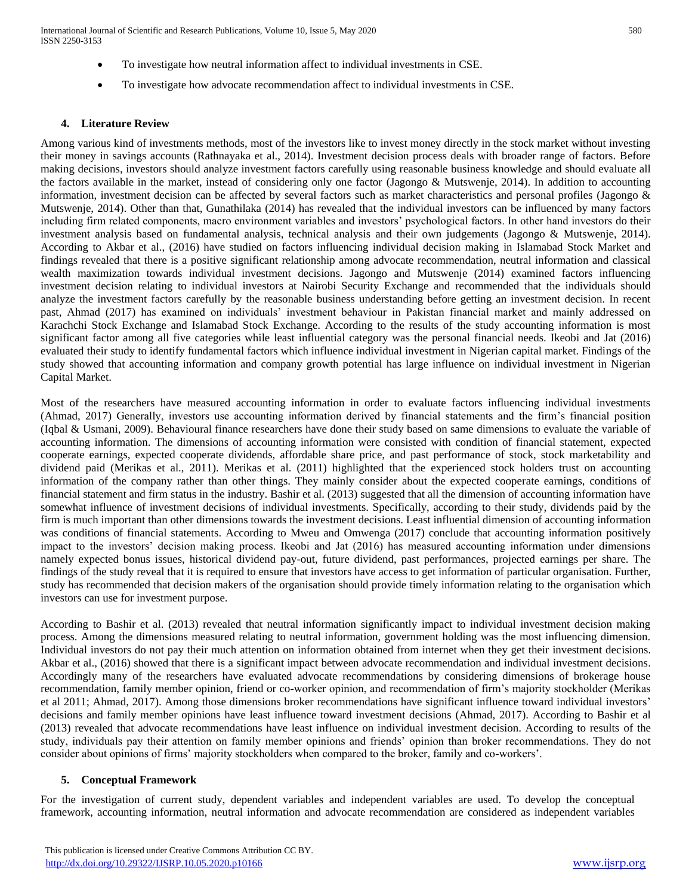- To investigate how neutral information affect to individual investments in CSE.
- To investigate how advocate recommendation affect to individual investments in CSE.

## **4. Literature Review**

Among various kind of investments methods, most of the investors like to invest money directly in the stock market without investing their money in savings accounts (Rathnayaka et al., 2014). Investment decision process deals with broader range of factors. Before making decisions, investors should analyze investment factors carefully using reasonable business knowledge and should evaluate all the factors available in the market, instead of considering only one factor (Jagongo & Mutswenje, 2014). In addition to accounting information, investment decision can be affected by several factors such as market characteristics and personal profiles (Jagongo & Mutswenje, 2014). Other than that, Gunathilaka (2014) has revealed that the individual investors can be influenced by many factors including firm related components, macro environment variables and investors' psychological factors. In other hand investors do their investment analysis based on fundamental analysis, technical analysis and their own judgements (Jagongo & Mutswenje, 2014). According to Akbar et al., (2016) have studied on factors influencing individual decision making in Islamabad Stock Market and findings revealed that there is a positive significant relationship among advocate recommendation, neutral information and classical wealth maximization towards individual investment decisions. Jagongo and Mutswenje (2014) examined factors influencing investment decision relating to individual investors at Nairobi Security Exchange and recommended that the individuals should analyze the investment factors carefully by the reasonable business understanding before getting an investment decision. In recent past, Ahmad (2017) has examined on individuals' investment behaviour in Pakistan financial market and mainly addressed on Karachchi Stock Exchange and Islamabad Stock Exchange. According to the results of the study accounting information is most significant factor among all five categories while least influential category was the personal financial needs. Ikeobi and Jat (2016) evaluated their study to identify fundamental factors which influence individual investment in Nigerian capital market. Findings of the study showed that accounting information and company growth potential has large influence on individual investment in Nigerian Capital Market.

Most of the researchers have measured accounting information in order to evaluate factors influencing individual investments (Ahmad, 2017) Generally, investors use accounting information derived by financial statements and the firm's financial position (Iqbal & Usmani, 2009). Behavioural finance researchers have done their study based on same dimensions to evaluate the variable of accounting information. The dimensions of accounting information were consisted with condition of financial statement, expected cooperate earnings, expected cooperate dividends, affordable share price, and past performance of stock, stock marketability and dividend paid (Merikas et al., 2011). Merikas et al. (2011) highlighted that the experienced stock holders trust on accounting information of the company rather than other things. They mainly consider about the expected cooperate earnings, conditions of financial statement and firm status in the industry. Bashir et al. (2013) suggested that all the dimension of accounting information have somewhat influence of investment decisions of individual investments. Specifically, according to their study, dividends paid by the firm is much important than other dimensions towards the investment decisions. Least influential dimension of accounting information was conditions of financial statements. According to Mweu and Omwenga (2017) conclude that accounting information positively impact to the investors' decision making process. Ikeobi and Jat (2016) has measured accounting information under dimensions namely expected bonus issues, historical dividend pay-out, future dividend, past performances, projected earnings per share. The findings of the study reveal that it is required to ensure that investors have access to get information of particular organisation. Further, study has recommended that decision makers of the organisation should provide timely information relating to the organisation which investors can use for investment purpose.

According to Bashir et al. (2013) revealed that neutral information significantly impact to individual investment decision making process. Among the dimensions measured relating to neutral information, government holding was the most influencing dimension. Individual investors do not pay their much attention on information obtained from internet when they get their investment decisions. Akbar et al., (2016) showed that there is a significant impact between advocate recommendation and individual investment decisions. Accordingly many of the researchers have evaluated advocate recommendations by considering dimensions of brokerage house recommendation, family member opinion, friend or co-worker opinion, and recommendation of firm's majority stockholder (Merikas et al 2011; Ahmad, 2017). Among those dimensions broker recommendations have significant influence toward individual investors' decisions and family member opinions have least influence toward investment decisions (Ahmad, 2017). According to Bashir et al (2013) revealed that advocate recommendations have least influence on individual investment decision. According to results of the study, individuals pay their attention on family member opinions and friends' opinion than broker recommendations. They do not consider about opinions of firms' majority stockholders when compared to the broker, family and co-workers'.

## **5. Conceptual Framework**

For the investigation of current study, dependent variables and independent variables are used. To develop the conceptual framework, accounting information, neutral information and advocate recommendation are considered as independent variables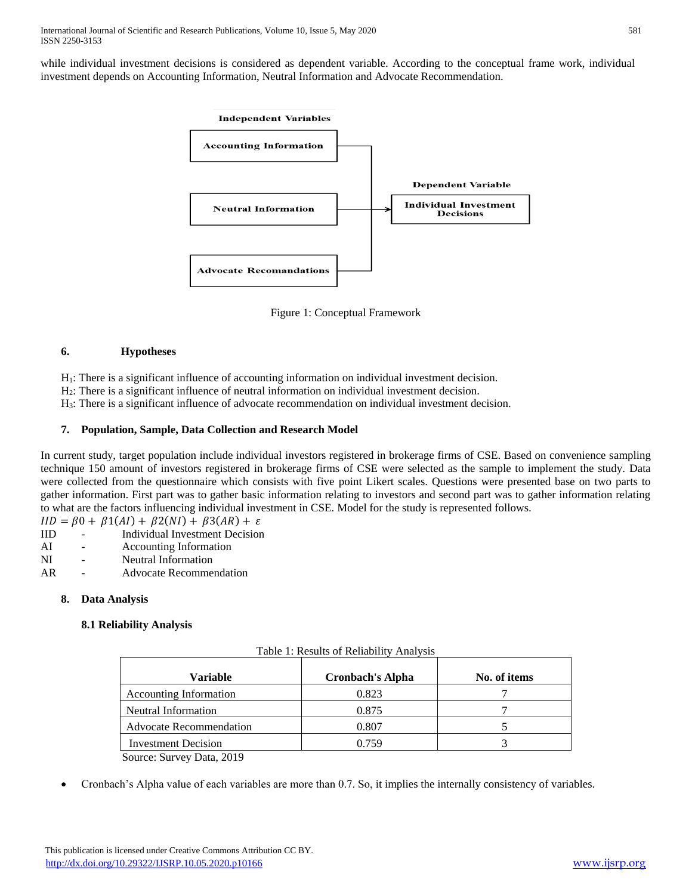while individual investment decisions is considered as dependent variable. According to the conceptual frame work, individual investment depends on Accounting Information, Neutral Information and Advocate Recommendation.



Figure 1: Conceptual Framework

# **6. Hypotheses**

H1: There is a significant influence of accounting information on individual investment decision.

H2: There is a significant influence of neutral information on individual investment decision.

H3: There is a significant influence of advocate recommendation on individual investment decision.

# **7. Population, Sample, Data Collection and Research Model**

In current study, target population include individual investors registered in brokerage firms of CSE. Based on convenience sampling technique 150 amount of investors registered in brokerage firms of CSE were selected as the sample to implement the study. Data were collected from the questionnaire which consists with five point Likert scales. Questions were presented base on two parts to gather information. First part was to gather basic information relating to investors and second part was to gather information relating to what are the factors influencing individual investment in CSE. Model for the study is represented follows.

 $IID = \beta 0 + \beta 1(AI) + \beta 2(NI) + \beta 3(AR) + \varepsilon$ 

- IID Individual Investment Decision
- AI Accounting Information
- NI Neutral Information
- AR Advocate Recommendation

## **8. Data Analysis**

# **8.1 Reliability Analysis**

| Variable                                                                                                                | <b>Cronbach's Alpha</b> | No. of items |
|-------------------------------------------------------------------------------------------------------------------------|-------------------------|--------------|
| <b>Accounting Information</b>                                                                                           | 0.823                   |              |
| Neutral Information                                                                                                     | 0.875                   |              |
| <b>Advocate Recommendation</b>                                                                                          | 0.807                   |              |
| <b>Investment Decision</b>                                                                                              | 0.759                   |              |
| $\mathcal{R}_{\text{current}}$ $\mathcal{R}_{\text{current}}$ $\mathcal{R}_{\text{total}}$ $\mathcal{R}_{\text{total}}$ |                         |              |

Table 1: Results of Reliability Analysis

Source: Survey Data, 2019

Cronbach's Alpha value of each variables are more than 0.7. So, it implies the internally consistency of variables.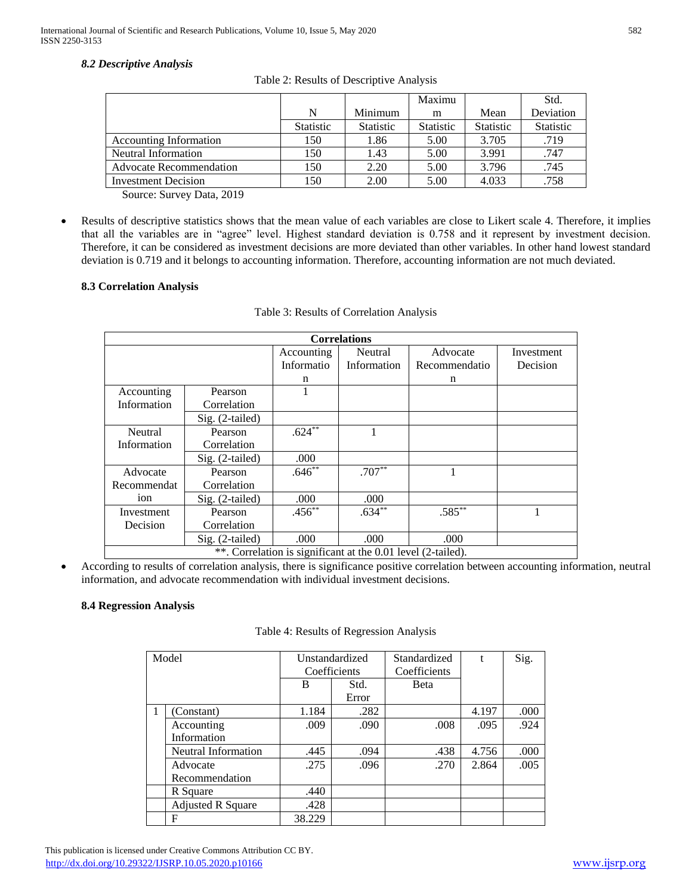# *8.2 Descriptive Analysis*

|                                |                  |                  | Maximu           |                  | Std.             |
|--------------------------------|------------------|------------------|------------------|------------------|------------------|
|                                | N                | Minimum          | m                | Mean             | Deviation        |
|                                | <b>Statistic</b> | <b>Statistic</b> | <b>Statistic</b> | <b>Statistic</b> | <b>Statistic</b> |
| <b>Accounting Information</b>  | 150              | 1.86             | 5.00             | 3.705            | .719             |
| Neutral Information            | 150              | 1.43             | 5.00             | 3.991            | .747             |
| <b>Advocate Recommendation</b> | 150              | 2.20             | 5.00             | 3.796            | .745             |
| <b>Investment Decision</b>     | 150              | 2.00             | 5.00             | 4.033            | .758             |

Table 2: Results of Descriptive Analysis

Source: Survey Data, 2019

 Results of descriptive statistics shows that the mean value of each variables are close to Likert scale 4. Therefore, it implies that all the variables are in "agree" level. Highest standard deviation is 0.758 and it represent by investment decision. Therefore, it can be considered as investment decisions are more deviated than other variables. In other hand lowest standard deviation is 0.719 and it belongs to accounting information. Therefore, accounting information are not much deviated.

# **8.3 Correlation Analysis**

| <b>Correlations</b>                                          |                   |            |             |               |            |  |  |
|--------------------------------------------------------------|-------------------|------------|-------------|---------------|------------|--|--|
|                                                              |                   | Accounting | Neutral     | Advocate      | Investment |  |  |
|                                                              |                   | Informatio | Information | Recommendatio | Decision   |  |  |
|                                                              |                   | n          |             | n             |            |  |  |
| Accounting                                                   | Pearson           |            |             |               |            |  |  |
| Information                                                  | Correlation       |            |             |               |            |  |  |
|                                                              | Sig. (2-tailed)   |            |             |               |            |  |  |
| Neutral                                                      | Pearson           | $.624**$   | 1           |               |            |  |  |
| Information                                                  | Correlation       |            |             |               |            |  |  |
|                                                              | Sig. (2-tailed)   | .000       |             |               |            |  |  |
| Advocate                                                     | Pearson           | $.646**$   | $.707**$    |               |            |  |  |
| Recommendat                                                  | Correlation       |            |             |               |            |  |  |
| 10 <sub>n</sub>                                              | $Sig. (2-tailed)$ | .000       | .000        |               |            |  |  |
| Investment                                                   | Pearson           | $.456***$  | $.634**$    | $.585***$     |            |  |  |
| Decision                                                     | Correlation       |            |             |               |            |  |  |
|                                                              | Sig. (2-tailed)   | .000       | .000        | .000          |            |  |  |
| **. Correlation is significant at the 0.01 level (2-tailed). |                   |            |             |               |            |  |  |

## Table 3: Results of Correlation Analysis

 According to results of correlation analysis, there is significance positive correlation between accounting information, neutral information, and advocate recommendation with individual investment decisions.

# **8.4 Regression Analysis**

| Model |                            | Unstandardized |       | Standardized |       | Sig. |
|-------|----------------------------|----------------|-------|--------------|-------|------|
|       |                            | Coefficients   |       | Coefficients |       |      |
|       |                            | B              | Std.  | <b>B</b> eta |       |      |
|       |                            |                | Error |              |       |      |
|       | (Constant)                 | 1.184          | .282  |              | 4.197 | .000 |
|       | Accounting                 | .009           | .090  | .008         | .095  | .924 |
|       | Information                |                |       |              |       |      |
|       | <b>Neutral Information</b> | .445           | .094  | .438         | 4.756 | .000 |
|       | Advocate                   | .275           | .096  | .270         | 2.864 | .005 |
|       | Recommendation             |                |       |              |       |      |
|       | R Square                   | .440           |       |              |       |      |
|       | <b>Adjusted R Square</b>   | .428           |       |              |       |      |
|       | F                          | 38.229         |       |              |       |      |

#### Table 4: Results of Regression Analysis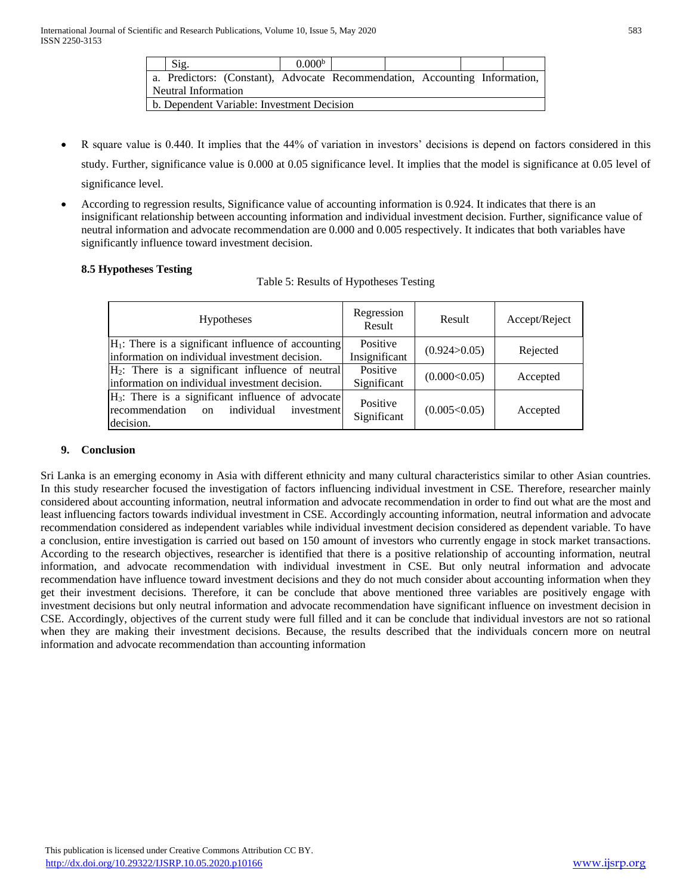| Sig.                |                                                                             | 0.000 <sup>b</sup> |  |  |  |
|---------------------|-----------------------------------------------------------------------------|--------------------|--|--|--|
|                     | a. Predictors: (Constant), Advocate Recommendation, Accounting Information, |                    |  |  |  |
| Neutral Information |                                                                             |                    |  |  |  |
|                     | b. Dependent Variable: Investment Decision                                  |                    |  |  |  |

- R square value is 0.440. It implies that the 44% of variation in investors' decisions is depend on factors considered in this study. Further, significance value is 0.000 at 0.05 significance level. It implies that the model is significance at 0.05 level of significance level.
- According to regression results, Significance value of accounting information is 0.924. It indicates that there is an insignificant relationship between accounting information and individual investment decision. Further, significance value of neutral information and advocate recommendation are 0.000 and 0.005 respectively. It indicates that both variables have significantly influence toward investment decision.

# **8.5 Hypotheses Testing**

|  |  | Table 5: Results of Hypotheses Testing |  |
|--|--|----------------------------------------|--|
|  |  |                                        |  |

| <b>Hypotheses</b>                                                                                                                | Regression<br>Result      | Result         | Accept/Reject |
|----------------------------------------------------------------------------------------------------------------------------------|---------------------------|----------------|---------------|
| $H_1$ : There is a significant influence of accounting<br>information on individual investment decision.                         | Positive<br>Insignificant | (0.924>0.05)   | Rejected      |
| $H_2$ : There is a significant influence of neutral<br>information on individual investment decision.                            | Positive<br>Significant   | (0.000<0.05)   | Accepted      |
| $H_3$ : There is a significant influence of advocate<br>recommendation<br>individual<br>investment<br><sub>on</sub><br>decision. | Positive<br>Significant   | (0.005 < 0.05) | Accepted      |

## **9. Conclusion**

Sri Lanka is an emerging economy in Asia with different ethnicity and many cultural characteristics similar to other Asian countries. In this study researcher focused the investigation of factors influencing individual investment in CSE. Therefore, researcher mainly considered about accounting information, neutral information and advocate recommendation in order to find out what are the most and least influencing factors towards individual investment in CSE. Accordingly accounting information, neutral information and advocate recommendation considered as independent variables while individual investment decision considered as dependent variable. To have a conclusion, entire investigation is carried out based on 150 amount of investors who currently engage in stock market transactions. According to the research objectives, researcher is identified that there is a positive relationship of accounting information, neutral information, and advocate recommendation with individual investment in CSE. But only neutral information and advocate recommendation have influence toward investment decisions and they do not much consider about accounting information when they get their investment decisions. Therefore, it can be conclude that above mentioned three variables are positively engage with investment decisions but only neutral information and advocate recommendation have significant influence on investment decision in CSE. Accordingly, objectives of the current study were full filled and it can be conclude that individual investors are not so rational when they are making their investment decisions. Because, the results described that the individuals concern more on neutral information and advocate recommendation than accounting information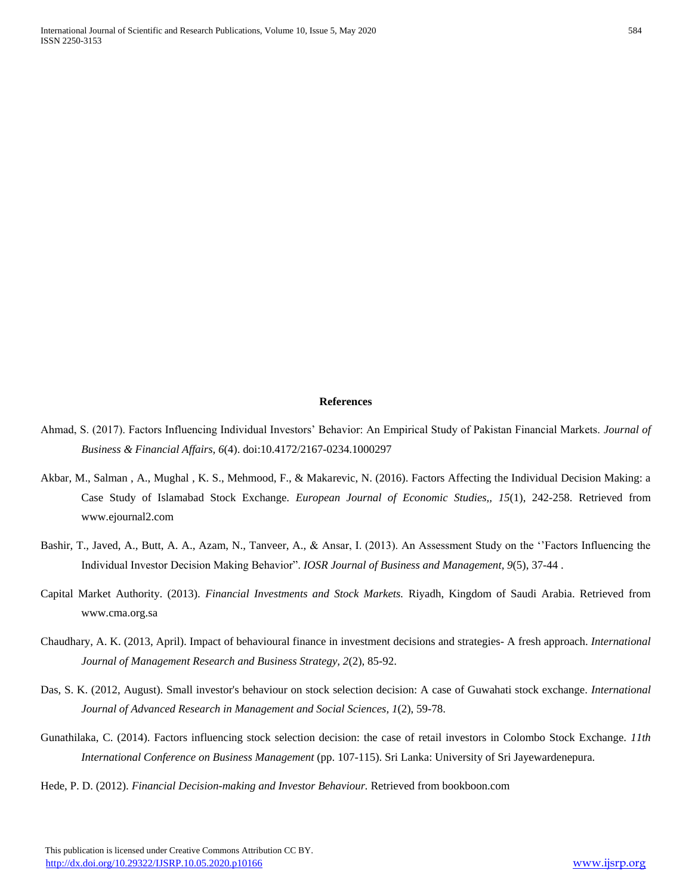#### **References**

- Ahmad, S. (2017). Factors Influencing Individual Investors' Behavior: An Empirical Study of Pakistan Financial Markets. *Journal of Business & Financial Affairs, 6*(4). doi:10.4172/2167-0234.1000297
- Akbar, M., Salman , A., Mughal , K. S., Mehmood, F., & Makarevic, N. (2016). Factors Affecting the Individual Decision Making: a Case Study of Islamabad Stock Exchange. *European Journal of Economic Studies,, 15*(1), 242-258. Retrieved from www.ejournal2.com
- Bashir, T., Javed, A., Butt, A. A., Azam, N., Tanveer, A., & Ansar, I. (2013). An Assessment Study on the ''Factors Influencing the Individual Investor Decision Making Behavior". *IOSR Journal of Business and Management, 9*(5), 37-44 .
- Capital Market Authority. (2013). *Financial Investments and Stock Markets.* Riyadh, Kingdom of Saudi Arabia. Retrieved from www.cma.org.sa
- Chaudhary, A. K. (2013, April). Impact of behavioural finance in investment decisions and strategies- A fresh approach. *International Journal of Management Research and Business Strategy, 2*(2), 85-92.
- Das, S. K. (2012, August). Small investor's behaviour on stock selection decision: A case of Guwahati stock exchange. *International Journal of Advanced Research in Management and Social Sciences, 1*(2), 59-78.
- Gunathilaka, C. (2014). Factors influencing stock selection decision: the case of retail investors in Colombo Stock Exchange. *11th International Conference on Business Management* (pp. 107-115). Sri Lanka: University of Sri Jayewardenepura.
- Hede, P. D. (2012). *Financial Decision-making and Investor Behaviour.* Retrieved from bookboon.com